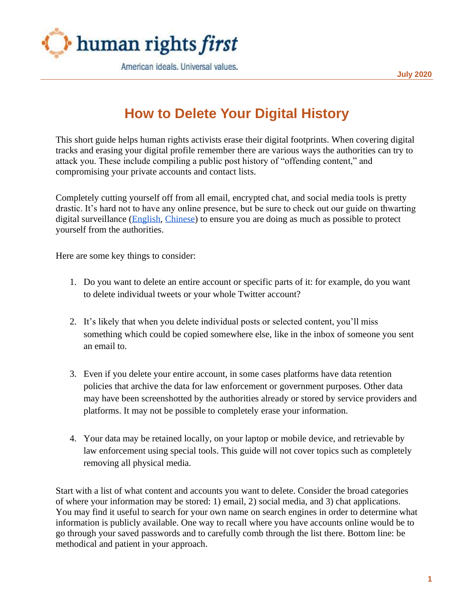

**July 2020**

## **How to Delete Your Digital History**

This short guide helps human rights activists erase their digital footprints. When covering digital tracks and erasing your digital profile remember there are various ways the authorities can try to attack you. These include compiling a public post history of "offending content," and compromising your private accounts and contact lists.

Completely cutting yourself off from all email, encrypted chat, and social media tools is pretty drastic. It's hard not to have any online presence, but be sure to check out our guide on thwarting digital surveillance [\(English,](https://www.humanrightsfirst.org/sites/default/files/How%20to%20Thwart%20Surveillance%20Updated%20%281%29.pdf) [Chinese\)](https://www.humanrightsfirst.org/sites/default/files/HRF%20Translation_0.pdf) to ensure you are doing as much as possible to protect yourself from the authorities.

Here are some key things to consider:

- 1. Do you want to delete an entire account or specific parts of it: for example, do you want to delete individual tweets or your whole Twitter account?
- 2. It's likely that when you delete individual posts or selected content, you'll miss something which could be copied somewhere else, like in the inbox of someone you sent an email to.
- 3. Even if you delete your entire account, in some cases platforms have data retention policies that archive the data for law enforcement or government purposes. Other data may have been screenshotted by the authorities already or stored by service providers and platforms. It may not be possible to completely erase your information.
- 4. Your data may be retained locally, on your laptop or mobile device, and retrievable by law enforcement using special tools. This guide will not cover topics such as completely removing all physical media.

Start with a list of what content and accounts you want to delete. Consider the broad categories of where your information may be stored: 1) email, 2) social media, and 3) chat applications. You may find it useful to search for your own name on search engines in order to determine what information is publicly available. One way to recall where you have accounts online would be to go through your saved passwords and to carefully comb through the list there. Bottom line: be methodical and patient in your approach.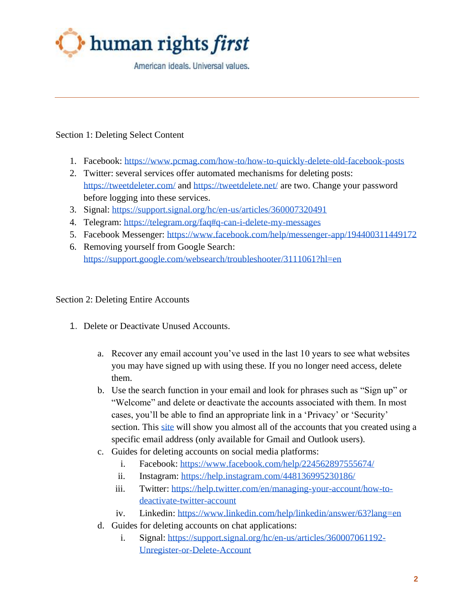

American ideals, Universal values.

## Section 1: Deleting Select Content

- 1. Facebook:<https://www.pcmag.com/how-to/how-to-quickly-delete-old-facebook-posts>
- 2. Twitter: several services offer automated mechanisms for deleting posts: <https://tweetdeleter.com/> and<https://tweetdelete.net/> are two. Change your password before logging into these services.
- 3. Signal:<https://support.signal.org/hc/en-us/articles/360007320491>
- 4. Telegram:<https://telegram.org/faq#q-can-i-delete-my-messages>
- 5. Facebook Messenger:<https://www.facebook.com/help/messenger-app/194400311449172>
- 6. Removing yourself from Google Search: <https://support.google.com/websearch/troubleshooter/3111061?hl=en>

## Section 2: Deleting Entire Accounts

- 1. Delete or Deactivate Unused Accounts.
	- a. Recover any email account you've used in the last 10 years to see what websites you may have signed up with using these. If you no longer need access, delete them.
	- b. Use the search function in your email and look for phrases such as "Sign up" or "Welcome" and delete or deactivate the accounts associated with them. In most cases, you'll be able to find an appropriate link in a 'Privacy' or 'Security' section. This [site](https://www.deseat.me/get-started) will show you almost all of the accounts that you created using a specific email address (only available for Gmail and Outlook users).
	- c. Guides for deleting accounts on social media platforms:
		- i. Facebook:<https://www.facebook.com/help/224562897555674/>
		- ii. Instagram:<https://help.instagram.com/448136995230186/>
		- iii. Twitter: [https://help.twitter.com/en/managing-your-account/how-to](https://help.twitter.com/en/managing-your-account/how-to-deactivate-twitter-account)[deactivate-twitter-account](https://help.twitter.com/en/managing-your-account/how-to-deactivate-twitter-account)
		- iv. Linkedin:<https://www.linkedin.com/help/linkedin/answer/63?lang=en>
	- d. Guides for deleting accounts on chat applications:
		- i. Signal: [https://support.signal.org/hc/en-us/articles/360007061192-](https://support.signal.org/hc/en-us/articles/360007061192-Unregister-or-Delete-Account) [Unregister-or-Delete-Account](https://support.signal.org/hc/en-us/articles/360007061192-Unregister-or-Delete-Account)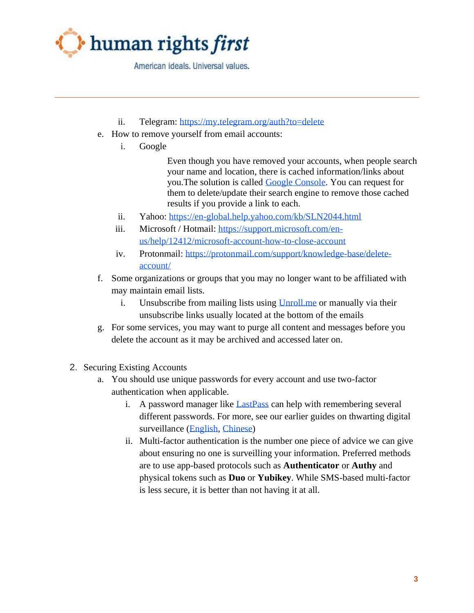

American ideals, Universal values.

- ii. Telegram:<https://my.telegram.org/auth?to=delete>
- e. How to remove yourself from email accounts:
	- i. Google

Even though you have removed your accounts, when people search your name and location, there is cached information/links about you.The solution is called [Google Console.](https://google.com/webmasters/tools/removals) You can request for them to delete/update their search engine to remove those cached results if you provide a link to each.

- ii. Yahoo:<https://en-global.help.yahoo.com/kb/SLN2044.html>
- iii. Microsoft / Hotmail: [https://support.microsoft.com/en](https://support.microsoft.com/en-us/help/12412/microsoft-account-how-to-close-account)[us/help/12412/microsoft-account-how-to-close-account](https://support.microsoft.com/en-us/help/12412/microsoft-account-how-to-close-account)
- iv. Protonmail: [https://protonmail.com/support/knowledge-base/delete](https://protonmail.com/support/knowledge-base/delete-account/)[account/](https://protonmail.com/support/knowledge-base/delete-account/)
- f. Some organizations or groups that you may no longer want to be affiliated with may maintain email lists.
	- i. Unsubscribe from mailing lists using Unroll, me or manually via their unsubscribe links usually located at the bottom of the emails
- g. For some services, you may want to purge all content and messages before you delete the account as it may be archived and accessed later on.
- 2. Securing Existing Accounts
	- a. You should use unique passwords for every account and use two-factor authentication when applicable.
		- i. A password manager like [LastPass](https://www.lastpass.com/) can help with remembering several different passwords. For more, see our earlier guides on thwarting digital surveillance [\(English,](https://www.humanrightsfirst.org/sites/default/files/How%20to%20thwart%20digital%20surveillance%20%281%29.pdf) [Chinese\)](https://www.humanrightsfirst.org/sites/default/files/HRF%20Translation_0.pdf)
		- ii. Multi-factor authentication is the number one piece of advice we can give about ensuring no one is surveilling your information. Preferred methods are to use app-based protocols such as **Authenticator** or **Authy** and physical tokens such as **Duo** or **Yubikey**. While SMS-based multi-factor is less secure, it is better than not having it at all.